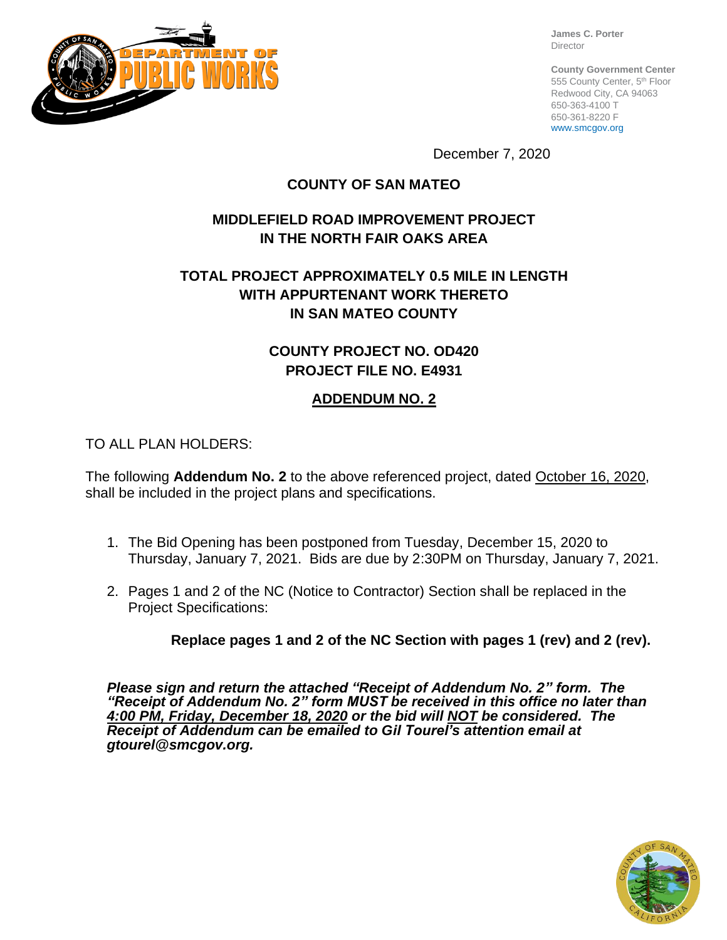

**James C. Porter** Director

**County Government Center** 555 County Center, 5th Floor Redwood City, CA 94063 650-363-4100 T 650-361-8220 F www.smcgov.org

December 7, 2020

## **COUNTY OF SAN MATEO**

# **MIDDLEFIELD ROAD IMPROVEMENT PROJECT IN THE NORTH FAIR OAKS AREA**

# **TOTAL PROJECT APPROXIMATELY 0.5 MILE IN LENGTH WITH APPURTENANT WORK THERETO IN SAN MATEO COUNTY**

# **COUNTY PROJECT NO. OD420 PROJECT FILE NO. E4931**

## **ADDENDUM NO. 2**

TO ALL PLAN HOLDERS:

The following **Addendum No. 2** to the above referenced project, dated October 16, 2020, shall be included in the project plans and specifications.

- 1. The Bid Opening has been postponed from Tuesday, December 15, 2020 to Thursday, January 7, 2021. Bids are due by 2:30PM on Thursday, January 7, 2021.
- 2. Pages 1 and 2 of the NC (Notice to Contractor) Section shall be replaced in the Project Specifications:

**Replace pages 1 and 2 of the NC Section with pages 1 (rev) and 2 (rev).**

*Please sign and return the attached "Receipt of Addendum No. 2" form. The "Receipt of Addendum No. 2" form MUST be received in this office no later than 4:00 PM, Friday, December 18, 2020 or the bid will NOT be considered. The Receipt of Addendum can be emailed to Gil Tourel's attention email at gtourel@smcgov.org.*

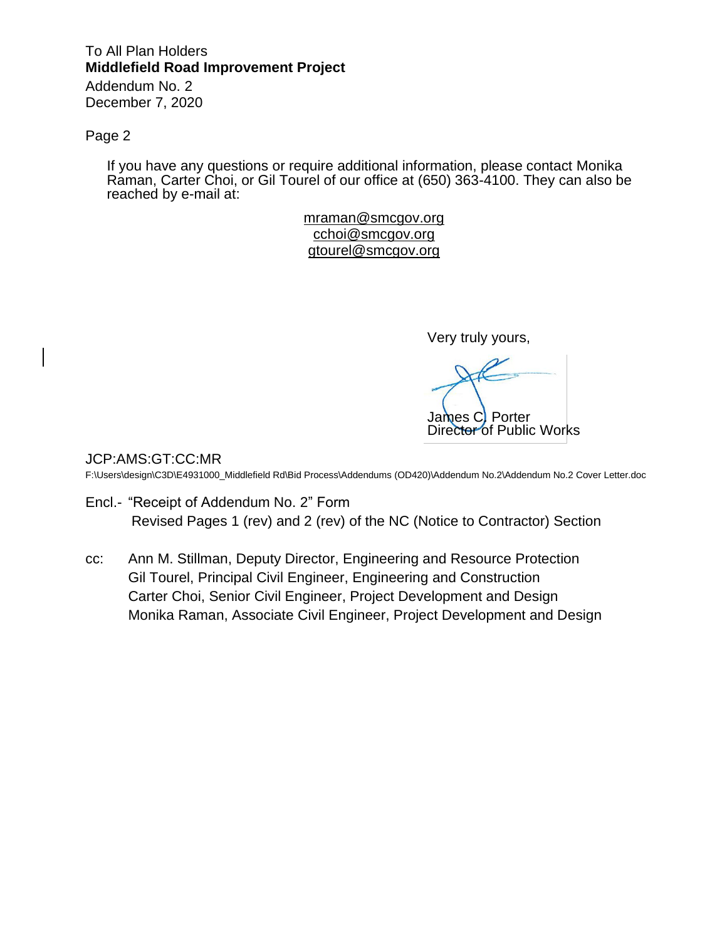# To All Plan Holders **Middlefield Road Improvement Project**

Addendum No. 2 December 7, 2020

#### Page 2

If you have any questions or require additional information, please contact Monika Raman, Carter Choi, or Gil Tourel of our office at (650) 363-4100. They can also be reached by e-mail at:

> mraman@smcgov.org [cchoi@smcgov.org](mailto:cchoi@smcgov.org) [gtourel@smcgov.org](mailto:gtourel@smcgov.org)

> > Very truly yours,

James C. Porter Director of Public Works

JCP:AMS:GT:CC:MR

F:\Users\design\C3D\E4931000\_Middlefield Rd\Bid Process\Addendums (OD420)\Addendum No.2\Addendum No.2 Cover Letter.doc

- Encl.- "Receipt of Addendum No. 2" Form Revised Pages 1 (rev) and 2 (rev) of the NC (Notice to Contractor) Section
- cc: Ann M. Stillman, Deputy Director, Engineering and Resource Protection Gil Tourel, Principal Civil Engineer, Engineering and Construction Carter Choi, Senior Civil Engineer, Project Development and Design Monika Raman, Associate Civil Engineer, Project Development and Design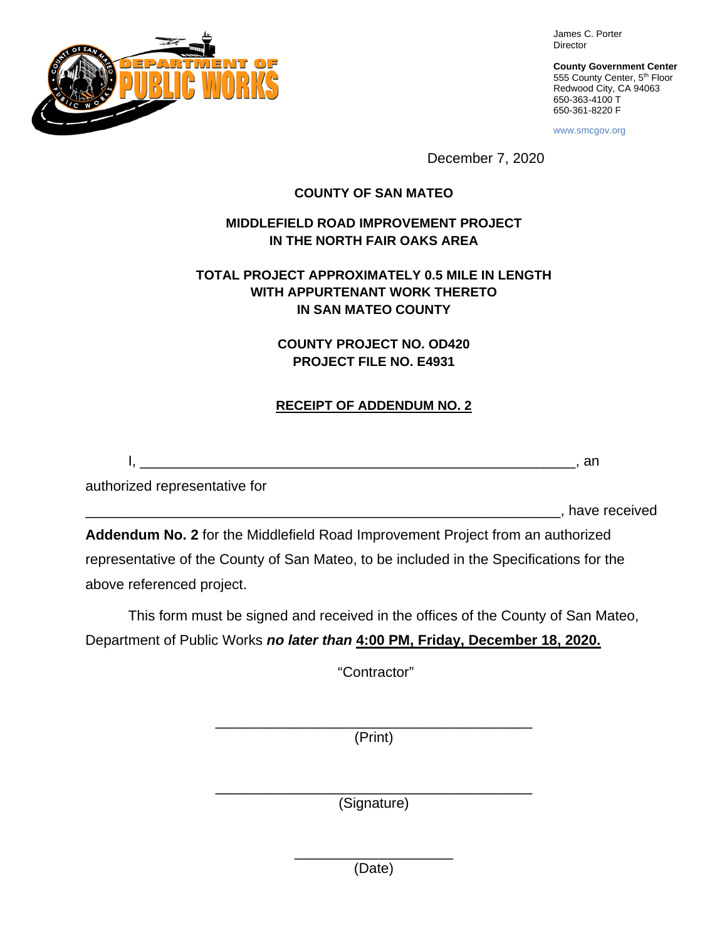

James C. Porter Director

**County Government Center** 555 County Center, 5<sup>th</sup> Floor Redwood City, CA 94063 650-363-4100 T 650-361-8220 F

www.smcgov.org

December 7, 2020

#### **COUNTY OF SAN MATEO**

### **MIDDLEFIELD ROAD IMPROVEMENT PROJECT IN THE NORTH FAIR OAKS AREA**

### **TOTAL PROJECT APPROXIMATELY 0.5 MILE IN LENGTH WITH APPURTENANT WORK THERETO IN SAN MATEO COUNTY**

## **COUNTY PROJECT NO. OD420 PROJECT FILE NO. E4931**

## **RECEIPT OF ADDENDUM NO. 2**

I, \_\_\_\_\_\_\_\_\_\_\_\_\_\_\_\_\_\_\_\_\_\_\_\_\_\_\_\_\_\_\_\_\_\_\_\_\_\_\_\_\_\_\_\_\_\_\_\_\_\_\_\_\_\_\_, an

authorized representative for

\_\_\_\_\_\_\_\_\_\_\_\_\_\_\_\_\_\_\_\_\_\_\_\_\_\_\_\_\_\_\_\_\_\_\_\_\_\_\_\_\_\_\_\_\_\_\_\_\_\_\_\_\_\_\_\_\_\_\_\_, have received

**Addendum No. 2** for the Middlefield Road Improvement Project from an authorized representative of the County of San Mateo, to be included in the Specifications for the above referenced project.

This form must be signed and received in the offices of the County of San Mateo, Department of Public Works *no later than* **4:00 PM, Friday, December 18, 2020.**

"Contractor"

\_\_\_\_\_\_\_\_\_\_\_\_\_\_\_\_\_\_\_\_\_\_\_\_\_\_\_\_\_\_\_\_\_\_\_\_\_\_\_\_ (Print)

\_\_\_\_\_\_\_\_\_\_\_\_\_\_\_\_\_\_\_\_\_\_\_\_\_\_\_\_\_\_\_\_\_\_\_\_\_\_\_\_ (Signature)

> \_\_\_\_\_\_\_\_\_\_\_\_\_\_\_\_\_\_\_\_ (Date)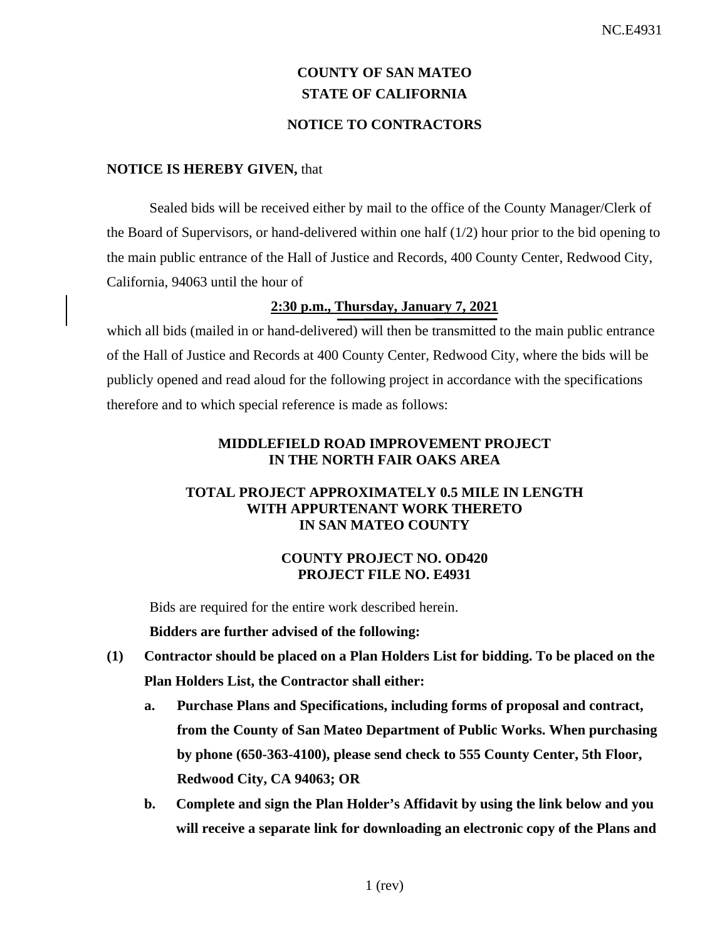# **COUNTY OF SAN MATEO STATE OF CALIFORNIA**

## **NOTICE TO CONTRACTORS**

#### **NOTICE IS HEREBY GIVEN,** that

Sealed bids will be received either by mail to the office of the County Manager/Clerk of the Board of Supervisors, or hand-delivered within one half (1/2) hour prior to the bid opening to the main public entrance of the Hall of Justice and Records, 400 County Center, Redwood City, California, 94063 until the hour of

#### **2:30 p.m., Thursday, January 7, 2021**

which all bids (mailed in or hand-delivered) will then be transmitted to the main public entrance of the Hall of Justice and Records at 400 County Center, Redwood City, where the bids will be publicly opened and read aloud for the following project in accordance with the specifications therefore and to which special reference is made as follows:

#### **MIDDLEFIELD ROAD IMPROVEMENT PROJECT IN THE NORTH FAIR OAKS AREA**

#### **TOTAL PROJECT APPROXIMATELY 0.5 MILE IN LENGTH WITH APPURTENANT WORK THERETO IN SAN MATEO COUNTY**

#### **COUNTY PROJECT NO. OD420 PROJECT FILE NO. E4931**

Bids are required for the entire work described herein.

**Bidders are further advised of the following:**

- **(1) Contractor should be placed on a Plan Holders List for bidding. To be placed on the Plan Holders List, the Contractor shall either:**
	- **a. Purchase Plans and Specifications, including forms of proposal and contract, from the County of San Mateo Department of Public Works. When purchasing by phone (650-363-4100), please send check to 555 County Center, 5th Floor, Redwood City, CA 94063; OR**
	- **b. Complete and sign the Plan Holder's Affidavit by using the link below and you will receive a separate link for downloading an electronic copy of the Plans and**